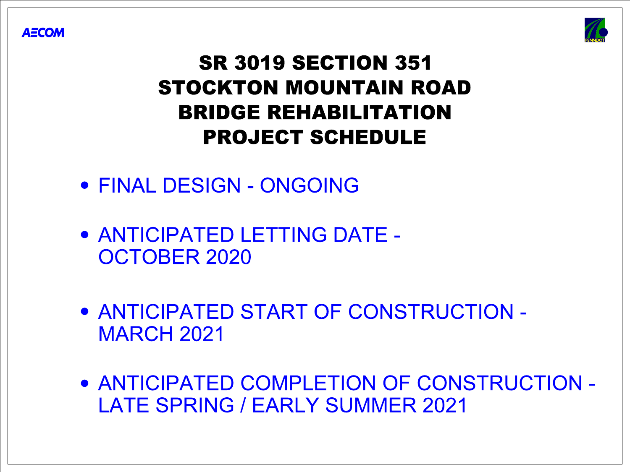

## PROJECT SCHEDULE BRIDGE REHABILITATION STOCKTON MOUNTAIN ROAD SR 3019 SECTION 351

FINAL DESIGN - ONGOING

# OCTOBER 2020

ANTICIPATED LETTING DATE -





MARCH 2021 ANTICIPATED START OF CONSTRUCTION -

LATE SPRING / EARLY SUMMER 2021 ANTICIPATED COMPLETION OF CONSTRUCTION -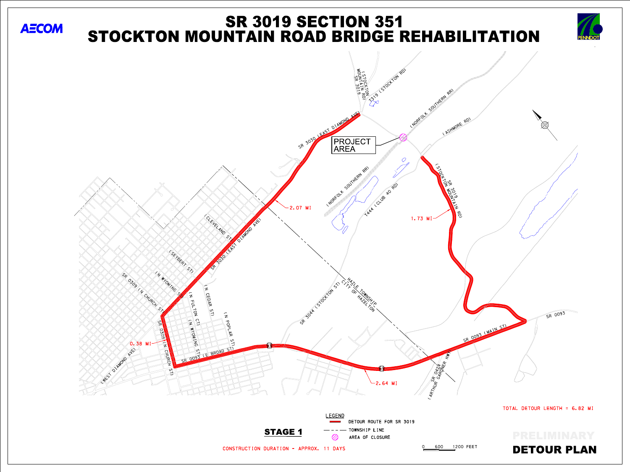







DETOUR PLAN

TOTAL DETOUR LENGTH = 6.82 MI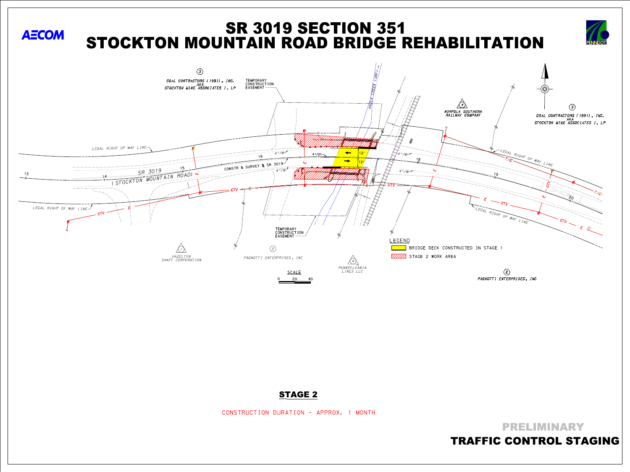